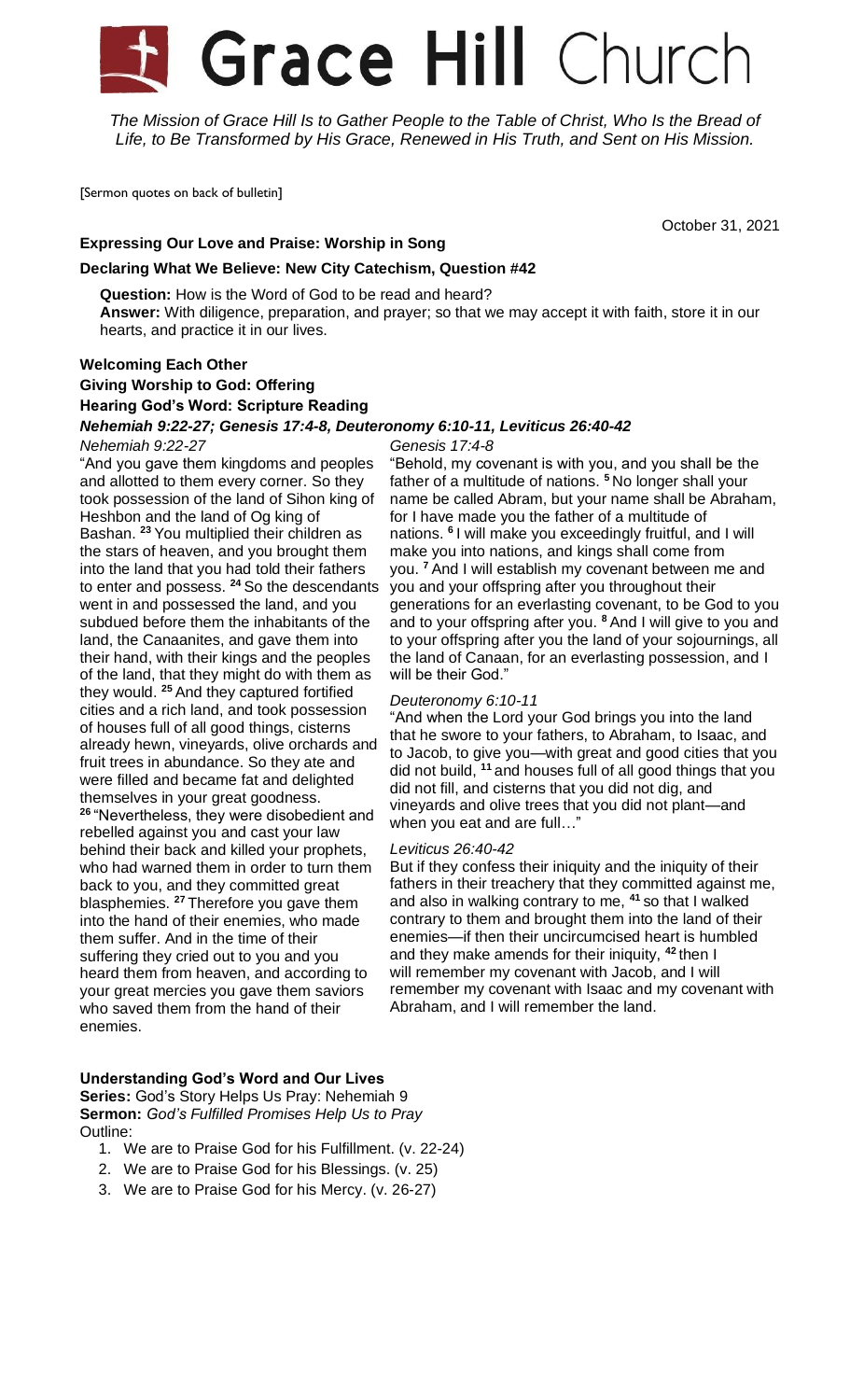# **Grace Hill** Church

*The Mission of Grace Hill Is to Gather People to the Table of Christ, Who Is the Bread of Life, to Be Transformed by His Grace, Renewed in His Truth, and Sent on His Mission.*

[Sermon quotes on back of bulletin]

October 31, 2021

# **Expressing Our Love and Praise: Worship in Song**

# **Declaring What We Believe: New City Catechism, Question #42**

**Question:** How is the Word of God to be read and heard? **Answer:** With diligence, preparation, and prayer; so that we may accept it with faith, store it in our hearts, and practice it in our lives.

# **Welcoming Each Other**

# **Giving Worship to God: Offering Hearing God's Word: Scripture Reading**

*Nehemiah 9:22-27; Genesis 17:4-8, Deuteronomy 6:10-11, Leviticus 26:40-42*

*Nehemiah 9:22-27* "And you gave them kingdoms and peoples and allotted to them every corner. So they

took possession of the land of Sihon king of Heshbon and the land of Og king of Bashan. **<sup>23</sup>** You multiplied their children as the stars of heaven, and you brought them into the land that you had told their fathers to enter and possess. **<sup>24</sup>** So the descendants went in and possessed the land, and you subdued before them the inhabitants of the land, the Canaanites, and gave them into their hand, with their kings and the peoples of the land, that they might do with them as they would. **<sup>25</sup>** And they captured fortified cities and a rich land, and took possession of houses full of all good things, cisterns already hewn, vineyards, olive orchards and fruit trees in abundance. So they ate and were filled and became fat and delighted themselves in your great goodness. **<sup>26</sup>** "Nevertheless, they were disobedient and rebelled against you and cast your law behind their back and killed your prophets, who had warned them in order to turn them back to you, and they committed great blasphemies. **<sup>27</sup>** Therefore you gave them into the hand of their enemies, who made them suffer. And in the time of their suffering they cried out to you and you heard them from heaven, and according to your great mercies you gave them saviors who saved them from the hand of their enemies.

## *Genesis 17:4-8*

"Behold, my covenant is with you, and you shall be the father of a multitude of nations. **<sup>5</sup>** No longer shall your name be called Abram, but your name shall be Abraham, for I have made you the father of a multitude of nations. **<sup>6</sup>** I will make you exceedingly fruitful, and I will make you into nations, and kings shall come from you. **<sup>7</sup>** And I will establish my covenant between me and you and your offspring after you throughout their generations for an everlasting covenant, to be God to you and to your offspring after you. **<sup>8</sup>** And I will give to you and to your offspring after you the land of your sojournings, all the land of Canaan, for an everlasting possession, and I will be their God."

# *Deuteronomy 6:10-11*

"And when the Lord your God brings you into the land that he swore to your fathers, to Abraham, to Isaac, and to Jacob, to give you—with great and good cities that you did not build, **<sup>11</sup>** and houses full of all good things that you did not fill, and cisterns that you did not dig, and vineyards and olive trees that you did not plant—and when you eat and are full…"

## *Leviticus 26:40-42*

But if they confess their iniquity and the iniquity of their fathers in their treachery that they committed against me, and also in walking contrary to me, **<sup>41</sup>** so that I walked contrary to them and brought them into the land of their enemies—if then their uncircumcised heart is humbled and they make amends for their iniquity, **<sup>42</sup>** then I will remember my covenant with Jacob, and I will remember my covenant with Isaac and my covenant with Abraham, and I will remember the land.

### **Understanding God's Word and Our Lives Series:** God's Story Helps Us Pray: Nehemiah 9

**Sermon:** *God's Fulfilled Promises Help Us to Pray* Outline:

- 1. We are to Praise God for his Fulfillment. (v. 22-24)
- 2. We are to Praise God for his Blessings. (v. 25)
- 3. We are to Praise God for his Mercy. (v. 26-27)